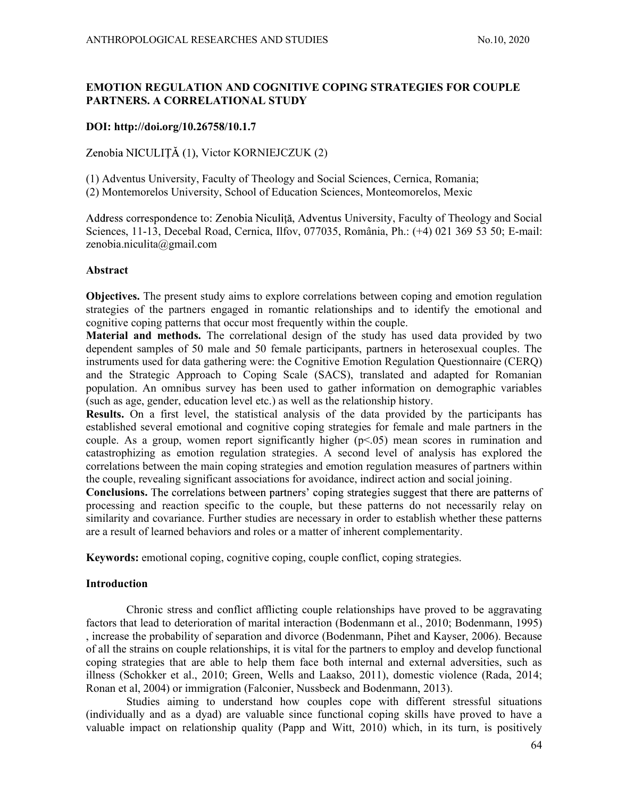# EMOTION REGULATION AND COGNITIVE COPING STRATEGIES FOR COUPLE PARTNERS. A CORRELATIONAL STUDY

## DOI: http://doi.org/10.26758/10.1.7

Zenobia NICULITĂ (1), Victor KORNIEJCZUK (2)

(1) Adventus University, Faculty of Theology and Social Sciences, Cernica, Romania;

(2) Montemorelos University, School of Education Sciences, Monteomorelos, Mexic

Address correspondence to: Zenobia Niculită, Adventus University, Faculty of Theology and Social Sciences, 11-13, Decebal Road, Cernica, Ilfov, 077035, România, Ph.: (+4) 021 369 53 50; E-mail: zenobia.niculita@gmail.com

### Abstract

Objectives. The present study aims to explore correlations between coping and emotion regulation strategies of the partners engaged in romantic relationships and to identify the emotional and cognitive coping patterns that occur most frequently within the couple.

Material and methods. The correlational design of the study has used data provided by two dependent samples of 50 male and 50 female participants, partners in heterosexual couples. The instruments used for data gathering were: the Cognitive Emotion Regulation Questionnaire (CERQ) and the Strategic Approach to Coping Scale (SACS), translated and adapted for Romanian population. An omnibus survey has been used to gather information on demographic variables (such as age, gender, education level etc.) as well as the relationship history.

Results. On a first level, the statistical analysis of the data provided by the participants has established several emotional and cognitive coping strategies for female and male partners in the couple. As a group, women report significantly higher  $(p<0.05)$  mean scores in rumination and catastrophizing as emotion regulation strategies. A second level of analysis has explored the correlations between the main coping strategies and emotion regulation measures of partners within the couple, revealing significant associations for avoidance, indirect action and social joining.

Conclusions. The correlations between partners' coping strategies suggest that there are patterns of processing and reaction specific to the couple, but these patterns do not necessarily relay on similarity and covariance. Further studies are necessary in order to establish whether these patterns are a result of learned behaviors and roles or a matter of inherent complementarity.

Keywords: emotional coping, cognitive coping, couple conflict, coping strategies.

### Introduction

Chronic stress and conflict afflicting couple relationships have proved to be aggravating factors that lead to deterioration of marital interaction (Bodenmann et al., 2010; Bodenmann, 1995) , increase the probability of separation and divorce (Bodenmann, Pihet and Kayser, 2006). Because of all the strains on couple relationships, it is vital for the partners to employ and develop functional coping strategies that are able to help them face both internal and external adversities, such as illness (Schokker et al., 2010; Green, Wells and Laakso, 2011), domestic violence (Rada, 2014; Ronan et al, 2004) or immigration (Falconier, Nussbeck and Bodenmann, 2013).

Studies aiming to understand how couples cope with different stressful situations (individually and as a dyad) are valuable since functional coping skills have proved to have a valuable impact on relationship quality (Papp and Witt, 2010) which, in its turn, is positively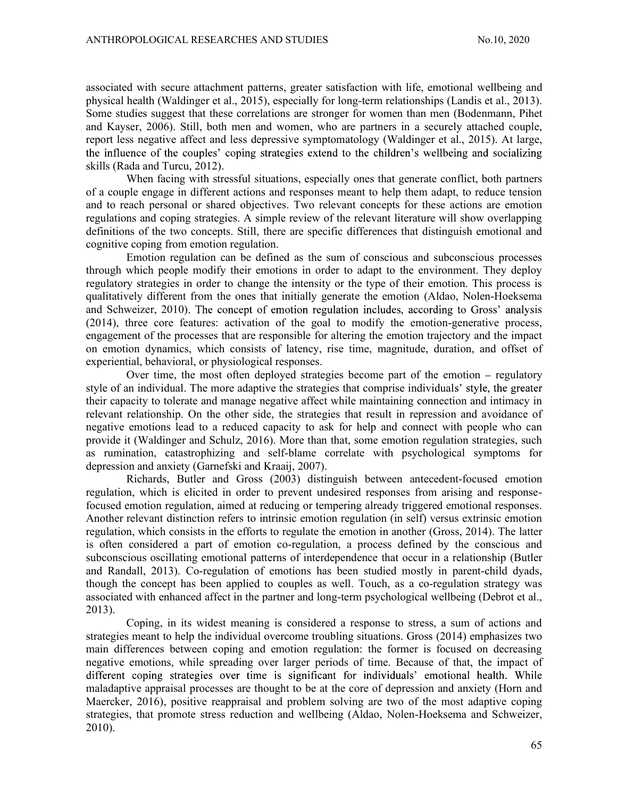associated with secure attachment patterns, greater satisfaction with life, emotional wellbeing and physical health (Waldinger et al., 2015), especially for long-term relationships (Landis et al., 2013). Some studies suggest that these correlations are stronger for women than men (Bodenmann, Pihet and Kayser, 2006). Still, both men and women, who are partners in a securely attached couple, report less negative affect and less depressive symptomatology (Waldinger et al., 2015). At large, the influence of the couples' coping strategies extend to the children's wellbeing and socializing skills (Rada and Turcu, 2012).

When facing with stressful situations, especially ones that generate conflict, both partners of a couple engage in different actions and responses meant to help them adapt, to reduce tension and to reach personal or shared objectives. Two relevant concepts for these actions are emotion regulations and coping strategies. A simple review of the relevant literature will show overlapping definitions of the two concepts. Still, there are specific differences that distinguish emotional and cognitive coping from emotion regulation.

Emotion regulation can be defined as the sum of conscious and subconscious processes through which people modify their emotions in order to adapt to the environment. They deploy regulatory strategies in order to change the intensity or the type of their emotion. This process is qualitatively different from the ones that initially generate the emotion (Aldao, Nolen-Hoeksema and Schweizer, 2010). The concept of emotion regulation includes, according to Gross' analysis (2014), three core features: activation of the goal to modify the emotion-generative process, engagement of the processes that are responsible for altering the emotion trajectory and the impact on emotion dynamics, which consists of latency, rise time, magnitude, duration, and offset of experiential, behavioral, or physiological responses.

Over time, the most often deployed strategies become part of the emotion  $-$  regulatory style of an individual. The more adaptive the strategies that comprise individuals' style, the greater their capacity to tolerate and manage negative affect while maintaining connection and intimacy in relevant relationship. On the other side, the strategies that result in repression and avoidance of negative emotions lead to a reduced capacity to ask for help and connect with people who can provide it (Waldinger and Schulz, 2016). More than that, some emotion regulation strategies, such as rumination, catastrophizing and self-blame correlate with psychological symptoms for depression and anxiety (Garnefski and Kraaij, 2007).

Richards, Butler and Gross (2003) distinguish between antecedent-focused emotion regulation, which is elicited in order to prevent undesired responses from arising and responsefocused emotion regulation, aimed at reducing or tempering already triggered emotional responses. Another relevant distinction refers to intrinsic emotion regulation (in self) versus extrinsic emotion regulation, which consists in the efforts to regulate the emotion in another (Gross, 2014). The latter is often considered a part of emotion co-regulation, a process defined by the conscious and subconscious oscillating emotional patterns of interdependence that occur in a relationship (Butler and Randall, 2013). Co-regulation of emotions has been studied mostly in parent-child dyads, though the concept has been applied to couples as well. Touch, as a co-regulation strategy was associated with enhanced affect in the partner and long-term psychological wellbeing (Debrot et al., 2013).

Coping, in its widest meaning is considered a response to stress, a sum of actions and strategies meant to help the individual overcome troubling situations. Gross (2014) emphasizes two main differences between coping and emotion regulation: the former is focused on decreasing negative emotions, while spreading over larger periods of time. Because of that, the impact of different coping strategies over time is significant for individuals' emotional health. While maladaptive appraisal processes are thought to be at the core of depression and anxiety (Horn and Maercker, 2016), positive reappraisal and problem solving are two of the most adaptive coping strategies, that promote stress reduction and wellbeing (Aldao, Nolen-Hoeksema and Schweizer, 2010).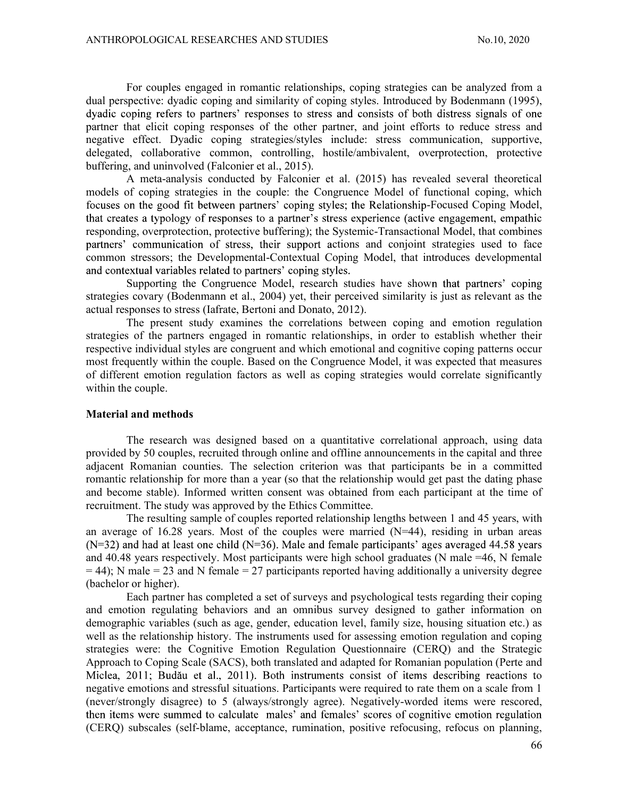For couples engaged in romantic relationships, coping strategies can be analyzed from a dual perspective: dyadic coping and similarity of coping styles. Introduced by Bodenmann (1995), dyadic coping refers to partners' responses to stress and consists of both distress signals of one partner that elicit coping responses of the other partner, and joint efforts to reduce stress and negative effect. Dyadic coping strategies/styles include: stress communication, supportive, delegated, collaborative common, controlling, hostile/ambivalent, overprotection, protective buffering, and uninvolved (Falconier et al., 2015).

A meta-analysis conducted by Falconier et al. (2015) has revealed several theoretical models of coping strategies in the couple: the Congruence Model of functional coping, which focuses on the good fit between partners' coping styles; the Relationship-Focused Coping Model, that creates a typology of responses to a partner's stress experience (active engagement, empathic responding, overprotection, protective buffering); the Systemic-Transactional Model, that combines partners' communication of stress, their support actions and conjoint strategies used to face common stressors; the Developmental-Contextual Coping Model, that introduces developmental and contextual variables related to partners' coping styles.

Supporting the Congruence Model, research studies have shown that partners' coping strategies covary (Bodenmann et al., 2004) yet, their perceived similarity is just as relevant as the actual responses to stress (Iafrate, Bertoni and Donato, 2012).

The present study examines the correlations between coping and emotion regulation strategies of the partners engaged in romantic relationships, in order to establish whether their respective individual styles are congruent and which emotional and cognitive coping patterns occur most frequently within the couple. Based on the Congruence Model, it was expected that measures of different emotion regulation factors as well as coping strategies would correlate significantly within the couple.

### Material and methods

The research was designed based on a quantitative correlational approach, using data provided by 50 couples, recruited through online and offline announcements in the capital and three adjacent Romanian counties. The selection criterion was that participants be in a committed romantic relationship for more than a year (so that the relationship would get past the dating phase and become stable). Informed written consent was obtained from each participant at the time of recruitment. The study was approved by the Ethics Committee.

The resulting sample of couples reported relationship lengths between 1 and 45 years, with an average of 16.28 years. Most of the couples were married  $(N=44)$ , residing in urban areas  $(N=32)$  and had at least one child ( $N=36$ ). Male and female participants' ages averaged 44.58 years and 40.48 years respectively. Most participants were high school graduates (N male =46, N female  $= 44$ ); N male  $= 23$  and N female  $= 27$  participants reported having additionally a university degree (bachelor or higher).

Each partner has completed a set of surveys and psychological tests regarding their coping and emotion regulating behaviors and an omnibus survey designed to gather information on demographic variables (such as age, gender, education level, family size, housing situation etc.) as well as the relationship history. The instruments used for assessing emotion regulation and coping strategies were: the Cognitive Emotion Regulation Questionnaire (CERQ) and the Strategic Approach to Coping Scale (SACS), both translated and adapted for Romanian population (Perte and Miclea, 2011; Budău et al., 2011). Both instruments consist of items describing reactions to negative emotions and stressful situations. Participants were required to rate them on a scale from 1 (never/strongly disagree) to 5 (always/strongly agree). Negatively-worded items were rescored, then items were summed to calculate males' and females' scores of cognitive emotion regulation (CERQ) subscales (self-blame, acceptance, rumination, positive refocusing, refocus on planning,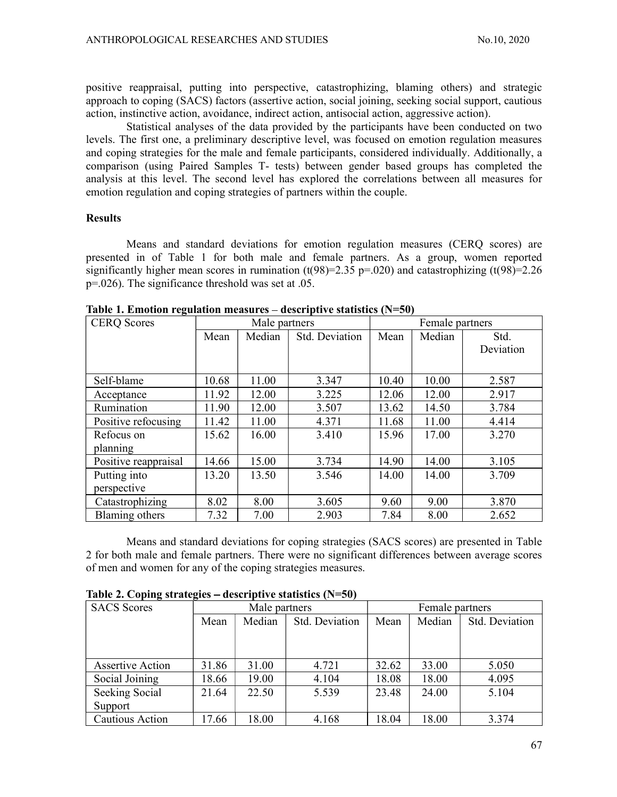positive reappraisal, putting into perspective, catastrophizing, blaming others) and strategic approach to coping (SACS) factors (assertive action, social joining, seeking social support, cautious action, instinctive action, avoidance, indirect action, antisocial action, aggressive action).

Statistical analyses of the data provided by the participants have been conducted on two levels. The first one, a preliminary descriptive level, was focused on emotion regulation measures and coping strategies for the male and female participants, considered individually. Additionally, a comparison (using Paired Samples T- tests) between gender based groups has completed the analysis at this level. The second level has explored the correlations between all measures for emotion regulation and coping strategies of partners within the couple.

### **Results**

Means and standard deviations for emotion regulation measures (CERQ scores) are presented in of Table 1 for both male and female partners. As a group, women reported significantly higher mean scores in rumination (t(98)=2.35 p=.020) and catastrophizing (t(98)=2.26 p=.026). The significance threshold was set at .05.

| <b>CERQ</b> Scores   |       | Male partners |                | Female partners |        |           |  |  |  |  |
|----------------------|-------|---------------|----------------|-----------------|--------|-----------|--|--|--|--|
|                      | Mean  | Median        | Std. Deviation | Mean            | Median | Std.      |  |  |  |  |
|                      |       |               |                |                 |        | Deviation |  |  |  |  |
|                      |       |               |                |                 |        |           |  |  |  |  |
| Self-blame           | 10.68 | 11.00         | 3.347          | 10.40           | 10.00  | 2.587     |  |  |  |  |
| Acceptance           | 11.92 | 12.00         | 3.225          | 12.06           | 12.00  | 2.917     |  |  |  |  |
| Rumination           | 11.90 | 12.00         | 3.507          | 13.62           | 14.50  | 3.784     |  |  |  |  |
| Positive refocusing  | 11.42 | 11.00         | 4.371          | 11.68           | 11.00  | 4.414     |  |  |  |  |
| Refocus on           | 15.62 | 16.00         | 3.410          | 15.96           | 17.00  | 3.270     |  |  |  |  |
| planning             |       |               |                |                 |        |           |  |  |  |  |
| Positive reappraisal | 14.66 | 15.00         | 3.734          | 14.90           | 14.00  | 3.105     |  |  |  |  |
| Putting into         | 13.20 | 13.50         | 3.546          | 14.00           | 14.00  | 3.709     |  |  |  |  |
| perspective          |       |               |                |                 |        |           |  |  |  |  |
| Catastrophizing      | 8.02  | 8.00          | 3.605          | 9.60            | 9.00   | 3.870     |  |  |  |  |
| Blaming others       | 7.32  | 7.00          | 2.903          | 7.84            | 8.00   | 2.652     |  |  |  |  |

Table 1. Emotion regulation measures  $-$  descriptive statistics (N=50)

Means and standard deviations for coping strategies (SACS scores) are presented in Table 2 for both male and female partners. There were no significant differences between average scores of men and women for any of the coping strategies measures.

| Table 2. Coping strategies – descriptive statistics $(N=50)$ |  |  |  |
|--------------------------------------------------------------|--|--|--|
|                                                              |  |  |  |

| <b>SACS</b> Scores      |       | Male partners |                | Female partners |        |                |  |  |  |
|-------------------------|-------|---------------|----------------|-----------------|--------|----------------|--|--|--|
|                         | Mean  | Median        | Std. Deviation | Mean            | Median | Std. Deviation |  |  |  |
|                         |       |               |                |                 |        |                |  |  |  |
|                         |       |               |                |                 |        |                |  |  |  |
| <b>Assertive Action</b> | 31.86 | 31.00         | 4.721          | 32.62           | 33.00  | 5.050          |  |  |  |
| Social Joining          | 18.66 | 19.00         | 4.104          | 18.08           | 18.00  | 4.095          |  |  |  |
| Seeking Social          | 21.64 | 22.50         | 5.539          | 23.48           | 24.00  | 5.104          |  |  |  |
| Support                 |       |               |                |                 |        |                |  |  |  |
| Cautious Action         | 17.66 | 18.00         | 4.168          | 18.04           | 18.00  | 3.374          |  |  |  |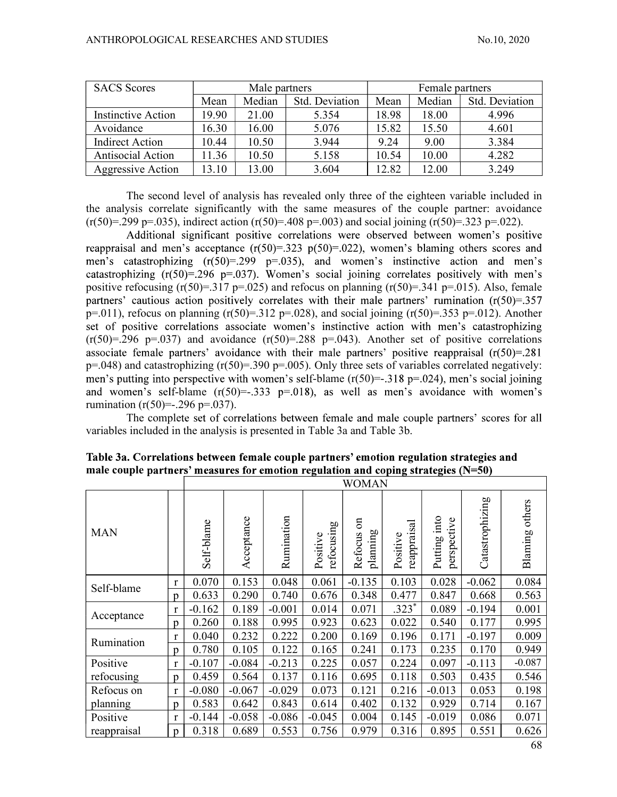| <b>SACS</b> Scores     |       | Male partners |                | Female partners |        |                |  |  |
|------------------------|-------|---------------|----------------|-----------------|--------|----------------|--|--|
|                        | Mean  | Median        | Std. Deviation | Mean            | Median | Std. Deviation |  |  |
| Instinctive Action     | 19.90 | $00$ .<br>21  | 5.354          | 18.98           | 18.00  | 4.996          |  |  |
| Avoidance              | 16.30 | 16.00         | 5.076          | 15.82           | 15.50  | 4.601          |  |  |
| <b>Indirect Action</b> | 10.44 | 10.50         | 3.944          | 9.24            | 9.00   | 3.384          |  |  |
| Antisocial Action      | 1.36  | 10.50         | 5.158          | 10.54           | 10.00  | 4.282          |  |  |
| Aggressive Action      | 13.10 | 13.00         | 3.604          | 12.82           | 12.00  | 3.249          |  |  |

The second level of analysis has revealed only three of the eighteen variable included in the analysis correlate significantly with the same measures of the couple partner: avoidance  $(r(50)=.299 \text{ p} = .035)$ , indirect action  $(r(50)=.408 \text{ p} = .003)$  and social joining  $(r(50)=.323 \text{ p} = .022)$ .

Additional significant positive correlations were observed between women's positive reappraisal and men's acceptance  $(r(50)=.323 \text{ p}(50)=.022)$ , women's blaming others scores and men's catastrophizing  $(r(50)=.299 \text{ p}=.035)$ , and women's instinctive action and men's catastrophizing  $(r(50)=.296 \text{ p}=.037)$ . Women's social joining correlates positively with men's positive refocusing  $(r(50)=.317 \text{ p} = .025)$  and refocus on planning  $(r(50)=.341 \text{ p} = .015)$ . Also, female partners' cautious action positively correlates with their male partners' rumination  $(r(50)=357)$ p=.011), refocus on planning (r(50)=.312 p=.028), and social joining (r(50)=.353 p=.012). Another set of positive correlations associate women's instinctive action with men's catastrophizing  $(r(50)=.296 \text{ p} = .037)$  and avoidance  $(r(50)=.288 \text{ p} = .043)$ . Another set of positive correlations associate female partners' avoidance with their male partners' positive reappraisal  $(r(50)=.281)$  $p=.048$ ) and catastrophizing (r(50)=.390 p=.005). Only three sets of variables correlated negatively: men's putting into perspective with women's self-blame  $(r(50)=-.318 \text{ p}=.024)$ , men's social joining and women's self-blame  $(r(50)=333 \text{ p} = 0.018)$ , as well as men's avoidance with women's rumination  $(r(50)=-.296 \text{ p} = .037)$ .

The complete set of correlations between female and male couple partners' scores for all variables included in the analysis is presented in Table 3a and Table 3b.

|             |              | <b>WOMAN</b> |            |            |                        |                                       |                         |                                |                 |                   |  |  |
|-------------|--------------|--------------|------------|------------|------------------------|---------------------------------------|-------------------------|--------------------------------|-----------------|-------------------|--|--|
| <b>MAN</b>  |              | Self-blame   | Acceptance | Rumination | refocusing<br>Positive | $\mathfrak{g}$<br>planning<br>Refocus | reappraisal<br>Positive | into<br>perspective<br>Putting | Catastrophizing | others<br>Blaming |  |  |
| Self-blame  | $\mathbf{r}$ | 0.070        | 0.153      | 0.048      | 0.061                  | $-0.135$                              | 0.103                   | 0.028                          | $-0.062$        | 0.084             |  |  |
|             | p            | 0.633        | 0.290      | 0.740      | 0.676                  | 0.348                                 | 0.477                   | 0.847                          | 0.668           | 0.563             |  |  |
|             | r            | $-0.162$     | 0.189      | $-0.001$   | 0.014                  | 0.071                                 | $.323*$                 | 0.089                          | $-0.194$        | 0.001             |  |  |
| Acceptance  | p            | 0.260        | 0.188      | 0.995      | 0.923                  | 0.623                                 | 0.022                   | 0.540                          | 0.177           | 0.995             |  |  |
| Rumination  | $\mathbf r$  | 0.040        | 0.232      | 0.222      | 0.200                  | 0.169                                 | 0.196                   | 0.171                          | $-0.197$        | 0.009             |  |  |
|             | p            | 0.780        | 0.105      | 0.122      | 0.165                  | 0.241                                 | 0.173                   | 0.235                          | 0.170           | 0.949             |  |  |
| Positive    |              | $-0.107$     | $-0.084$   | $-0.213$   | 0.225                  | 0.057                                 | 0.224                   | 0.097                          | $-0.113$        | $-0.087$          |  |  |
| refocusing  | p            | 0.459        | 0.564      | 0.137      | 0.116                  | 0.695                                 | 0.118                   | 0.503                          | 0.435           | 0.546             |  |  |
| Refocus on  | r            | $-0.080$     | $-0.067$   | $-0.029$   | 0.073                  | 0.121                                 | 0.216                   | $-0.013$                       | 0.053           | 0.198             |  |  |
| planning    | p            | 0.583        | 0.642      | 0.843      | 0.614                  | 0.402                                 | 0.132                   | 0.929                          | 0.714           | 0.167             |  |  |
| Positive    | r            | $-0.144$     | $-0.058$   | $-0.086$   | $-0.045$               | 0.004                                 | 0.145                   | $-0.019$                       | 0.086           | 0.071             |  |  |
| reappraisal | p            | 0.318        | 0.689      | 0.553      | 0.756                  | 0.979                                 | 0.316                   | 0.895                          | 0.551           | 0.626             |  |  |

Table 3a. Correlations between female couple partners' emotion regulation strategies and male couple partners' measures for emotion regulation and coping strategies  $(N=50)$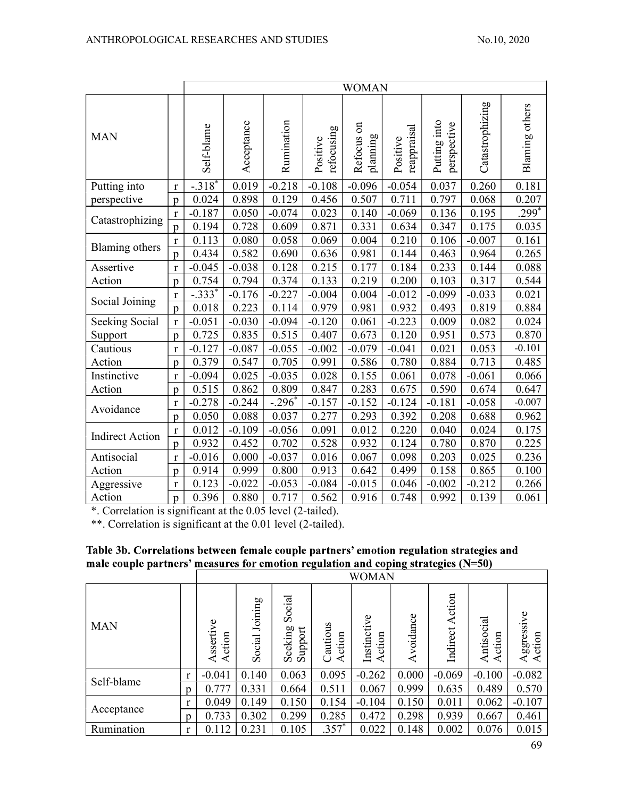|                        |                | <b>WOMAN</b>         |            |            |                        |                                       |                         |                             |                 |                       |  |  |  |
|------------------------|----------------|----------------------|------------|------------|------------------------|---------------------------------------|-------------------------|-----------------------------|-----------------|-----------------------|--|--|--|
| <b>MAN</b>             |                | Self-blame           | Acceptance | Rumination | refocusing<br>Positive | $\mathfrak{g}$<br>planning<br>Refocus | reappraisal<br>Positive | Putting into<br>perspective | Catastrophizing | <b>Blaming others</b> |  |  |  |
| Putting into           | $\bf r$        | $-.3\overline{18}^*$ | 0.019      | $-0.218$   | $-0.108$               | $-0.096$                              | $-0.054$                | 0.037                       | 0.260           | 0.181                 |  |  |  |
| perspective            | $\mathbf{p}$   | 0.024                | 0.898      | 0.129      | 0.456                  | 0.507                                 | 0.711                   | 0.797                       | 0.068           | 0.207                 |  |  |  |
| Catastrophizing        | $\bf r$        | $-0.187$             | 0.050      | $-0.074$   | 0.023                  | 0.140                                 | $-0.069$                | 0.136                       | 0.195           | $299*$                |  |  |  |
|                        | $\mathfrak{p}$ | 0.194                | 0.728      | 0.609      | 0.871                  | 0.331                                 | 0.634                   | 0.347                       | 0.175           | 0.035                 |  |  |  |
| Blaming others         | r              | 0.113                | 0.080      | 0.058      | 0.069                  | 0.004                                 | 0.210                   | 0.106                       | $-0.007$        | 0.161                 |  |  |  |
|                        | $\mathfrak{p}$ | 0.434                | 0.582      | 0.690      | 0.636                  | 0.981                                 | 0.144                   | 0.463                       | 0.964           | 0.265                 |  |  |  |
| Assertive              | $\mathbf{r}$   | $-0.045$             | $-0.038$   | 0.128      | 0.215                  | 0.177                                 | 0.184                   | 0.233                       | 0.144           | 0.088                 |  |  |  |
| Action                 | $\mathfrak{p}$ | 0.754                | 0.794      | 0.374      | 0.133                  | 0.219                                 | 0.200                   | 0.103                       | 0.317           | 0.544                 |  |  |  |
| Social Joining         | $\mathbf r$    | $-.333*$             | $-0.176$   | $-0.227$   | $-0.004$               | 0.004                                 | $-0.012$                | $-0.099$                    | $-0.033$        | 0.021                 |  |  |  |
|                        | $\mathbf{p}$   | 0.018                | 0.223      | 0.114      | 0.979                  | 0.981                                 | 0.932                   | 0.493                       | 0.819           | 0.884                 |  |  |  |
| <b>Seeking Social</b>  | $\mathbf r$    | $-0.051$             | $-0.030$   | $-0.094$   | $-0.120$               | 0.061                                 | $-0.223$                | 0.009                       | 0.082           | 0.024                 |  |  |  |
| Support                | $\mathfrak{p}$ | 0.725                | 0.835      | 0.515      | 0.407                  | 0.673                                 | 0.120                   | 0.951                       | 0.573           | 0.870                 |  |  |  |
| Cautious               | $\bf r$        | $-0.127$             | $-0.087$   | $-0.055$   | $-0.002$               | $-0.079$                              | $-0.041$                | 0.021                       | 0.053           | $-0.101$              |  |  |  |
| Action                 | p              | 0.379                | 0.547      | 0.705      | 0.991                  | 0.586                                 | 0.780                   | 0.884                       | 0.713           | 0.485                 |  |  |  |
| Instinctive            | $\mathbf r$    | $-0.094$             | 0.025      | $-0.035$   | 0.028                  | 0.155                                 | 0.061                   | 0.078                       | $-0.061$        | 0.066                 |  |  |  |
| Action                 | $\mathfrak{p}$ | 0.515                | 0.862      | 0.809      | 0.847                  | 0.283                                 | 0.675                   | 0.590                       | 0.674           | 0.647                 |  |  |  |
| Avoidance              | $\mathbf r$    | $-0.278$             | $-0.244$   | $-.296*$   | $-0.157$               | $-0.152$                              | $-0.124$                | $-0.181$                    | $-0.058$        | $-0.007$              |  |  |  |
|                        | $\mathfrak{p}$ | 0.050                | 0.088      | 0.037      | 0.277                  | 0.293                                 | 0.392                   | 0.208                       | 0.688           | 0.962                 |  |  |  |
| <b>Indirect Action</b> | r              | 0.012                | $-0.109$   | $-0.056$   | 0.091                  | 0.012                                 | 0.220                   | 0.040                       | 0.024           | 0.175                 |  |  |  |
|                        | $\mathbf{p}$   | 0.932                | 0.452      | 0.702      | 0.528                  | 0.932                                 | 0.124                   | 0.780                       | 0.870           | 0.225                 |  |  |  |
| Antisocial             | $\bf r$        | $-0.016$             | 0.000      | $-0.037$   | 0.016                  | 0.067                                 | 0.098                   | 0.203                       | 0.025           | 0.236                 |  |  |  |
| Action                 | p              | 0.914                | 0.999      | 0.800      | 0.913                  | 0.642                                 | 0.499                   | 0.158                       | 0.865           | 0.100                 |  |  |  |
| Aggressive             | $\bf r$        | 0.123                | $-0.022$   | $-0.053$   | $-0.084$               | $-0.015$                              | 0.046                   | $-0.002$                    | $-0.212$        | 0.266                 |  |  |  |
| Action                 | p              | 0.396                | 0.880      | 0.717      | 0.562                  | 0.916                                 | 0.748                   | 0.992                       | 0.139           | 0.061                 |  |  |  |

\*. Correlation is significant at the 0.05 level (2-tailed).

\*\*. Correlation is significant at the 0.01 level (2-tailed).

# Table 3b. Correlations between female couple partners' emotion regulation strategies and male couple partners' measures for emotion regulation and coping strategies  $(N=50)$

|            |                | <b>WOMAN</b>                   |                   |                                  |                   |                           |               |                    |                    |                                            |  |  |  |
|------------|----------------|--------------------------------|-------------------|----------------------------------|-------------------|---------------------------|---------------|--------------------|--------------------|--------------------------------------------|--|--|--|
| <b>MAN</b> |                | Φ<br>sserti<br>ction<br>≺<br>≺ | Joining<br>Social | Social<br>eeking<br>Support<br>Ō | Cautious<br>ction | Instinctive<br>ction<br>⋖ | voidance<br>⋖ | Action<br>Indirect | ntisocial<br>ction | $\mathbf o$<br>ggressiv<br>ction<br>⋖<br>⋖ |  |  |  |
| Self-blame | $\mathbf{r}$   | $-0.041$                       | 0.140             | 0.063                            | 0.095             | $-0.262$                  | 0.000         | $-0.069$           | $-0.100$           | $-0.082$                                   |  |  |  |
|            | D              | 0.777                          | 0.331             | 0.664                            | 0.511             | 0.067                     | 0.999         | 0.635              | 0.489              | 0.570                                      |  |  |  |
|            | $\mathbf{r}$   | 0.049                          | 0.149             | 0.150                            | 0.154             | $-0.104$                  | 0.150         | 0.011              | 0.062              | $-0.107$                                   |  |  |  |
| Acceptance | $\mathfrak{v}$ | 0.733                          | 0.302             | 0.299                            | 0.285             | 0.472                     | 0.298         | 0.939              | 0.667              | 0.461                                      |  |  |  |
| Rumination | $\mathbf{r}$   | 0.112                          | 0.231             | 0.105                            | $.357*$           | 0.022                     | 0.148         | 0.002              | 0.076              | 0.015                                      |  |  |  |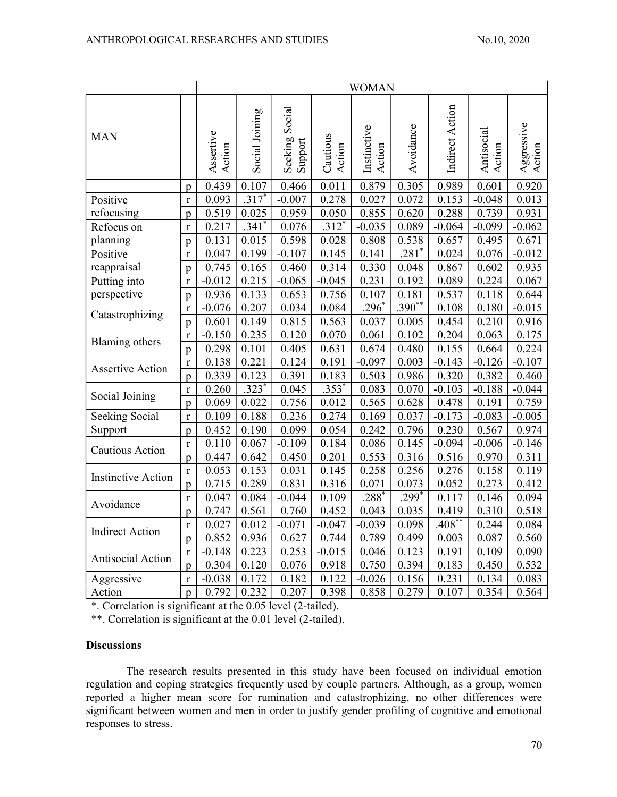|                                 |                | <b>WOMAN</b>        |                     |                               |                    |                       |            |                 |                      |                      |  |
|---------------------------------|----------------|---------------------|---------------------|-------------------------------|--------------------|-----------------------|------------|-----------------|----------------------|----------------------|--|
| <b>MAN</b>                      |                | Assertive<br>Action | Social Joining      | Social<br>Seeking!<br>Support | Cautious<br>Action | Instinctive<br>Action | Avoidance  | Indirect Action | Antisocial<br>Action | Aggressive<br>Action |  |
|                                 | p              | 0.439               | 0.107               | 0.466                         | 0.011              | 0.879                 | 0.305      | 0.989           | 0.601                | 0.920                |  |
| Positive                        | $\mathbf r$    | 0.093               | $.317*$             | $-0.007$                      | 0.278              | 0.027                 | 0.072      | 0.153           | $-0.048$             | 0.013                |  |
| refocusing                      | $\mathbf{p}$   | 0.519               | 0.025               | 0.959                         | 0.050              | 0.855                 | 0.620      | 0.288           | 0.739                | 0.931                |  |
| Refocus on                      | $\mathbf r$    | 0.217               | $.341$ <sup>*</sup> | 0.076                         | $.312*$            | $-0.035$              | 0.089      | $-0.064$        | $-0.099$             | $-0.062$             |  |
| planning                        | $\mathbf{p}$   | 0.131               | 0.015               | 0.598                         | 0.028              | 0.808                 | 0.538      | 0.657           | 0.495                | 0.671                |  |
| Positive                        | $\mathbf r$    | 0.047               | 0.199               | $-0.107$                      | 0.145              | 0.141                 | $.281*$    | 0.024           | 0.076                | $-0.012$             |  |
| reappraisal                     | p              | 0.745               | 0.165               | 0.460                         | 0.314              | 0.330                 | 0.048      | 0.867           | 0.602                | 0.935                |  |
| Putting into                    | $\bf r$        | $-0.012$            | 0.215               | $-0.065$                      | $-0.045$           | 0.231                 | 0.192      | 0.089           | 0.224                | 0.067                |  |
| perspective                     | p              | 0.936               | 0.133               | 0.653                         | 0.756              | 0.107                 | 0.181      | 0.537           | 0.118                | 0.644                |  |
|                                 | $\bf r$        | $-0.076$            | 0.207               | 0.034                         | 0.084              | $.296*$               | $.390**$   | 0.108           | 0.180                | $-0.015$             |  |
| Catastrophizing<br>$\mathbf{p}$ |                | 0.601               | 0.149               | 0.815                         | 0.563              | 0.037                 | 0.005      | 0.454           | 0.210                | 0.916                |  |
| <b>Blaming</b> others           | $\mathbf{r}$   | $-0.150$            | 0.235               | 0.120                         | 0.070              | 0.061                 | 0.102      | 0.204           | 0.063                | 0.175                |  |
|                                 | $\mathbf{p}$   | 0.298               | 0.101               | 0.405                         | 0.631              | 0.674                 | 0.480      | 0.155           | 0.664                | 0.224                |  |
| <b>Assertive Action</b>         | $\mathbf{r}$   | 0.138               | 0.221               | 0.124                         | 0.191              | $-0.097$              | 0.003      | $-0.143$        | $-0.126$             | $-0.107$             |  |
|                                 | $\mathbf{p}$   | 0.339               | 0.123               | 0.391                         | 0.183              | 0.503                 | 0.986      | 0.320           | 0.382                | 0.460                |  |
| Social Joining                  | $\mathbf r$    | 0.260               | $.323*$             | 0.045                         | $.353*$            | 0.083                 | 0.070      | $-0.103$        | $-0.188$             | $-0.044$             |  |
|                                 | p              | 0.069               | 0.022               | 0.756                         | 0.012              | 0.565                 | 0.628      | 0.478           | 0.191                | 0.759                |  |
| Seeking Social                  | $\mathbf r$    | 0.109               | 0.188               | 0.236                         | 0.274              | 0.169                 | 0.037      | $-0.173$        | $-0.083$             | $-0.005$             |  |
| Support                         | $\mathfrak{p}$ | 0.452               | 0.190               | 0.099                         | 0.054              | 0.242                 | 0.796      | 0.230           | 0.567                | 0.974                |  |
| <b>Cautious Action</b>          | $\mathbf r$    | 0.110               | 0.067               | $-0.109$                      | 0.184              | 0.086                 | 0.145      | $-0.094$        | $-0.006$             | $-0.146$             |  |
|                                 | $\mathbf{p}$   | 0.447               | 0.642               | 0.450                         | 0.201              | 0.553                 | 0.316      | 0.516           | 0.970                | 0.311                |  |
| <b>Instinctive Action</b>       | $\mathbf r$    | 0.053               | 0.153               | 0.031                         | 0.145              | 0.258                 | 0.256      | 0.276           | 0.158                | 0.119                |  |
|                                 | $\mathbf{p}$   | 0.715               | 0.289               | 0.831                         | 0.316              | 0.071                 | 0.073      | 0.052           | 0.273                | 0.412                |  |
| Avoidance                       | $\bf r$        | 0.047               | 0.084               | $-0.044$                      | 0.109              | $.288*$               | $.299^{*}$ | 0.117           | 0.146                | 0.094                |  |
|                                 | $\mathbf{p}$   | 0.747               | 0.561               | 0.760                         | 0.452              | 0.043                 | 0.035      | 0.419           | 0.310                | 0.518                |  |
| <b>Indirect Action</b>          | $\mathbf r$    | 0.027               | 0.012               | $-0.071$                      | $-0.047$           | $-0.039$              | 0.098      | $.408**$        | 0.244                | 0.084                |  |
|                                 | $\mathbf{p}$   | 0.852               | 0.936               | 0.627                         | 0.744              | 0.789                 | 0.499      | 0.003           | 0.087                | 0.560                |  |
| Antisocial Action               | $\bf r$        | $-0.148$            | 0.223               | 0.253                         | $-0.015$           | 0.046                 | 0.123      | 0.191           | 0.109                | 0.090                |  |
|                                 | $\mathbf{p}$   | 0.304               | 0.120               | 0.076                         | 0.918              | 0.750                 | 0.394      | 0.183           | 0.450                | 0.532                |  |
| Aggressive                      | $\mathbf r$    | $-0.038$            | 0.172               | 0.182                         | 0.122              | $-0.026$              | 0.156      | 0.231           | 0.134                | 0.083                |  |
| Action                          | $\mathbf{p}$   | 0.792               | 0.232               | 0.207                         | 0.398              | 0.858                 | 0.279      | 0.107           | 0.354                | 0.564                |  |

\*. Correlation is significant at the 0.05 level (2-tailed).

\*\*. Correlation is significant at the 0.01 level (2-tailed).

## **Discussions**

The research results presented in this study have been focused on individual emotion regulation and coping strategies frequently used by couple partners. Although, as a group, women reported a higher mean score for rumination and catastrophizing, no other differences were significant between women and men in order to justify gender profiling of cognitive and emotional responses to stress.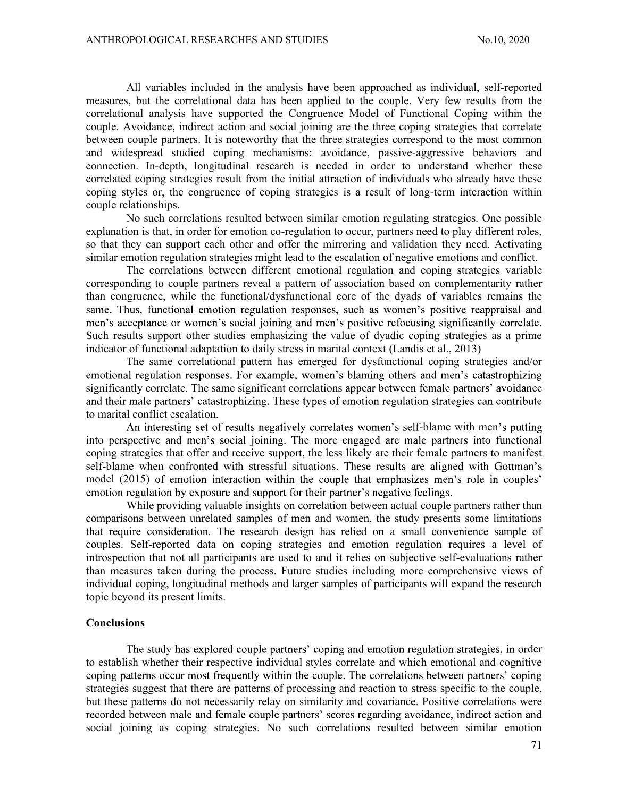All variables included in the analysis have been approached as individual, self-reported measures, but the correlational data has been applied to the couple. Very few results from the correlational analysis have supported the Congruence Model of Functional Coping within the couple. Avoidance, indirect action and social joining are the three coping strategies that correlate between couple partners. It is noteworthy that the three strategies correspond to the most common and widespread studied coping mechanisms: avoidance, passive-aggressive behaviors and connection. In-depth, longitudinal research is needed in order to understand whether these correlated coping strategies result from the initial attraction of individuals who already have these coping styles or, the congruence of coping strategies is a result of long-term interaction within couple relationships.

No such correlations resulted between similar emotion regulating strategies. One possible explanation is that, in order for emotion co-regulation to occur, partners need to play different roles, so that they can support each other and offer the mirroring and validation they need. Activating similar emotion regulation strategies might lead to the escalation of negative emotions and conflict.

The correlations between different emotional regulation and coping strategies variable corresponding to couple partners reveal a pattern of association based on complementarity rather than congruence, while the functional/dysfunctional core of the dyads of variables remains the same. Thus, functional emotion regulation responses, such as women's positive reappraisal and men's acceptance or women's social joining and men's positive refocusing significantly correlate. Such results support other studies emphasizing the value of dyadic coping strategies as a prime indicator of functional adaptation to daily stress in marital context (Landis et al., 2013)<br>The same correlational pattern has emerged for dysfunctional coping strategies and/or

emotional regulation responses. For example, women's blaming others and men's catastrophizing significantly correlate. The same significant correlations appear between female partners' avoidance and their male partners' catastrophizing. These types of emotion regulation strategies can contribute to marital conflict escalation.

An interesting set of results negatively correlates women's self-blame with men's putting into perspective and men's social joining. The more engaged are male partners into functional coping strategies that offer and receive support, the less likely are their female partners to manifest self-blame when confronted with stressful situations. These results are aligned with Gottman's model (2015) of emotion interaction within the couple that emphasizes men's role in couples' emotion regulation by exposure and support for their partner's negative feelings.

While providing valuable insights on correlation between actual couple partners rather than comparisons between unrelated samples of men and women, the study presents some limitations that require consideration. The research design has relied on a small convenience sample of couples. Self-reported data on coping strategies and emotion regulation requires a level of introspection that not all participants are used to and it relies on subjective self-evaluations rather than measures taken during the process. Future studies including more comprehensive views of individual coping, longitudinal methods and larger samples of participants will expand the research topic beyond its present limits.

### **Conclusions**

The study has explored couple partners' coping and emotion regulation strategies, in order to establish whether their respective individual styles correlate and which emotional and cognitive coping patterns occur most frequently within the couple. The correlations between partners' coping strategies suggest that there are patterns of processing and reaction to stress specific to the couple, but these patterns do not necessarily relay on similarity and covariance. Positive correlations were recorded between male and female couple partners' scores regarding avoidance, indirect action and social joining as coping strategies. No such correlations resulted between similar emotion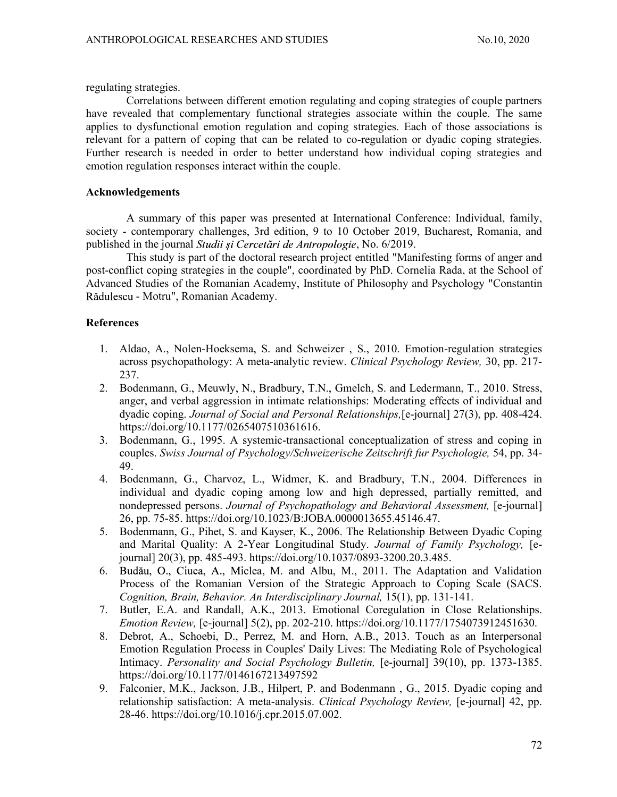regulating strategies.

Correlations between different emotion regulating and coping strategies of couple partners have revealed that complementary functional strategies associate within the couple. The same applies to dysfunctional emotion regulation and coping strategies. Each of those associations is relevant for a pattern of coping that can be related to co-regulation or dyadic coping strategies. Further research is needed in order to better understand how individual coping strategies and emotion regulation responses interact within the couple.

### Acknowledgements

A summary of this paper was presented at International Conference: Individual, family, society - contemporary challenges, 3rd edition, 9 to 10 October 2019, Bucharest, Romania, and published in the journal *Studii si Cercetări de Antropologie*, No. 6/2019.

This study is part of the doctoral research project entitled "Manifesting forms of anger and post-conflict coping strategies in the couple", coordinated by PhD. Cornelia Rada, at the School of Advanced Studies of the Romanian Academy, Institute of Philosophy and Psychology "Constantin Rădulescu - Motru", Romanian Academy.

# **References**

- 1. Aldao, A., Nolen-Hoeksema, S. and Schweizer , S., 2010. Emotion-regulation strategies across psychopathology: A meta-analytic review. Clinical Psychology Review, 30, pp. 217- 237.
- 2. Bodenmann, G., Meuwly, N., Bradbury, T.N., Gmelch, S. and Ledermann, T., 2010. Stress, anger, and verbal aggression in intimate relationships: Moderating effects of individual and dyadic coping. Journal of Social and Personal Relationships, [e-journal] 27(3), pp. 408-424. https://doi.org/10.1177/0265407510361616.
- 3. Bodenmann, G., 1995. A systemic-transactional conceptualization of stress and coping in couples. Swiss Journal of Psychology/Schweizerische Zeitschrift fur Psychologie, 54, pp. 34- 49.
- 4. Bodenmann, G., Charvoz, L., Widmer, K. and Bradbury, T.N., 2004. Differences in individual and dyadic coping among low and high depressed, partially remitted, and nondepressed persons. Journal of Psychopathology and Behavioral Assessment, [e-journal] 26, pp. 75-85. https://doi.org/10.1023/B:JOBA.0000013655.45146.47.
- 5. Bodenmann, G., Pihet, S. and Kayser, K., 2006. The Relationship Between Dyadic Coping and Marital Quality: A 2-Year Longitudinal Study. Journal of Family Psychology, [ejournal] 20(3), pp. 485-493. https://doi.org/10.1037/0893-3200.20.3.485.
- 6. Budău, O., Ciuca, A., Miclea, M. and Albu, M., 2011. The Adaptation and Validation Process of the Romanian Version of the Strategic Approach to Coping Scale (SACS. Cognition, Brain, Behavior. An Interdisciplinary Journal, 15(1), pp. 131-141.
- 7. Butler, E.A. and Randall, A.K., 2013. Emotional Coregulation in Close Relationships. Emotion Review, [e-journal] 5(2), pp. 202-210. https://doi.org/10.1177/1754073912451630.
- 8. Debrot, A., Schoebi, D., Perrez, M. and Horn, A.B., 2013. Touch as an Interpersonal Emotion Regulation Process in Couples' Daily Lives: The Mediating Role of Psychological Intimacy. Personality and Social Psychology Bulletin, [e-journal] 39(10), pp. 1373-1385. https://doi.org/10.1177/0146167213497592
- 9. Falconier, M.K., Jackson, J.B., Hilpert, P. and Bodenmann , G., 2015. Dyadic coping and relationship satisfaction: A meta-analysis. *Clinical Psychology Review*, [e-journal] 42, pp. 28-46. https://doi.org/10.1016/j.cpr.2015.07.002.